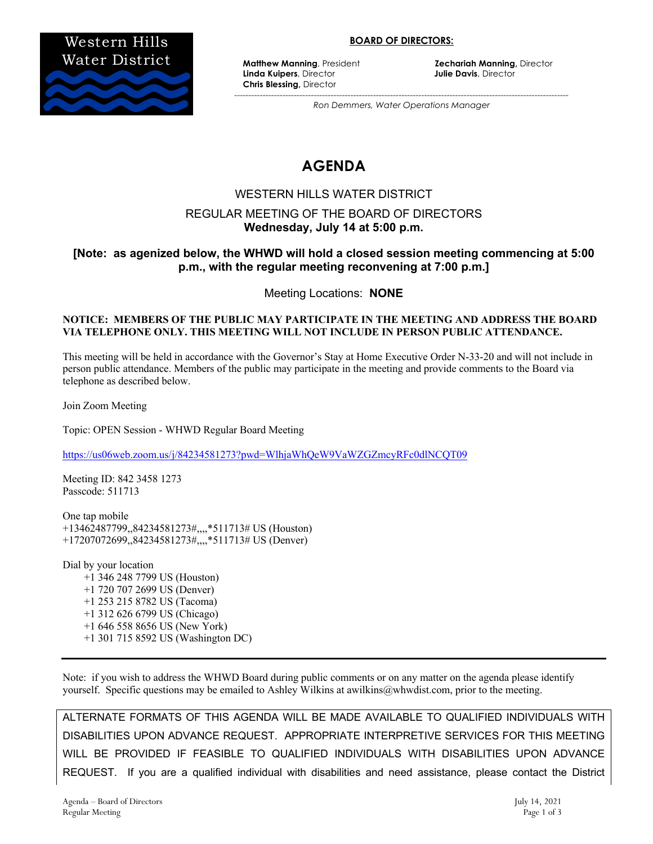

#### **BOARD OF DIRECTORS:**

**Linda Kuipers**, Director **Julie Davis**, Director **Chris Blessing,** Director

**Matthew Manning, President <b>Zechariah Manning**, Director

*---------------------------------------------------------------------------------------------------------------------- Ron Demmers, Water Operations Manager*

# **AGENDA**

#### WESTERN HILLS WATER DISTRICT

### REGULAR MEETING OF THE BOARD OF DIRECTORS **Wednesday, July 14 at 5:00 p.m.**

### **[Note: as agenized below, the WHWD will hold a closed session meeting commencing at 5:00 p.m., with the regular meeting reconvening at 7:00 p.m.]**

Meeting Locations: **NONE**

#### **NOTICE: MEMBERS OF THE PUBLIC MAY PARTICIPATE IN THE MEETING AND ADDRESS THE BOARD VIA TELEPHONE ONLY. THIS MEETING WILL NOT INCLUDE IN PERSON PUBLIC ATTENDANCE.**

This meeting will be held in accordance with the Governor's Stay at Home Executive Order N-33-20 and will not include in person public attendance. Members of the public may participate in the meeting and provide comments to the Board via telephone as described below.

Join Zoom Meeting

Topic: OPEN Session - WHWD Regular Board Meeting

https://us06web.zoom.us/j/84234581273?pwd=WlhjaWhQeW9VaWZGZmcyRFc0dlNCQT09

Meeting ID: 842 3458 1273 Passcode: 511713

One tap mobile +13462487799,,84234581273#,,,,\*511713# US (Houston) +17207072699,,84234581273#,,,,\*511713# US (Denver)

Dial by your location +1 346 248 7799 US (Houston) +1 720 707 2699 US (Denver) +1 253 215 8782 US (Tacoma) +1 312 626 6799 US (Chicago) +1 646 558 8656 US (New York) +1 301 715 8592 US (Washington DC)

Note: if you wish to address the WHWD Board during public comments or on any matter on the agenda please identify yourself. Specific questions may be emailed to Ashley Wilkins at awilkins@whwdist.com, prior to the meeting.

ALTERNATE FORMATS OF THIS AGENDA WILL BE MADE AVAILABLE TO QUALIFIED INDIVIDUALS WITH DISABILITIES UPON ADVANCE REQUEST. APPROPRIATE INTERPRETIVE SERVICES FOR THIS MEETING WILL BE PROVIDED IF FEASIBLE TO QUALIFIED INDIVIDUALS WITH DISABILITIES UPON ADVANCE REQUEST. If you are a qualified individual with disabilities and need assistance, please contact the District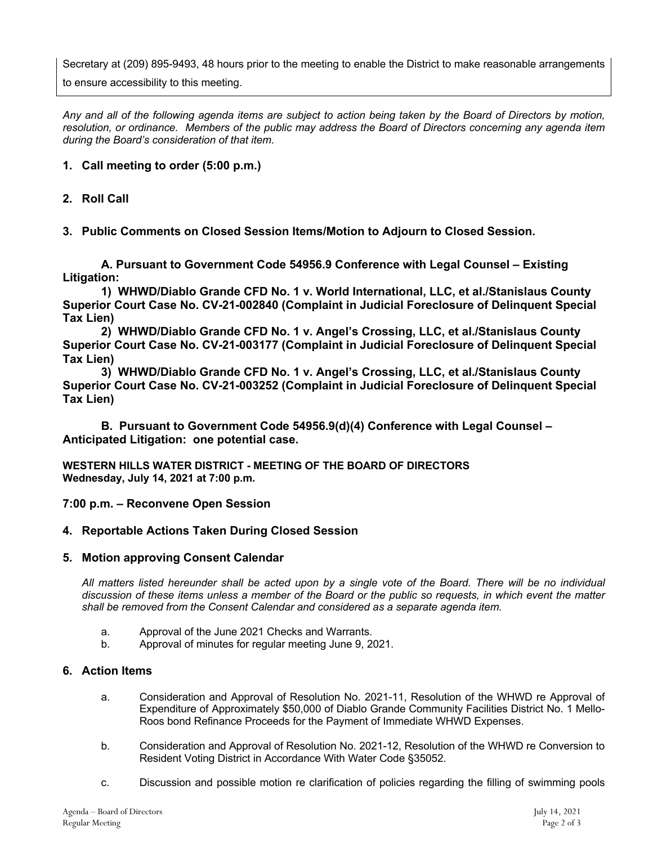Secretary at (209) 895-9493, 48 hours prior to the meeting to enable the District to make reasonable arrangements to ensure accessibility to this meeting.

*Any and all of the following agenda items are subject to action being taken by the Board of Directors by motion, resolution, or ordinance. Members of the public may address the Board of Directors concerning any agenda item during the Board's consideration of that item.*

## **1. Call meeting to order (5:00 p.m.)**

### **2. Roll Call**

# **3. Public Comments on Closed Session Items/Motion to Adjourn to Closed Session.**

**A. Pursuant to Government Code 54956.9 Conference with Legal Counsel – Existing Litigation:** 

**1) WHWD/Diablo Grande CFD No. 1 v. World International, LLC, et al./Stanislaus County Superior Court Case No. CV-21-002840 (Complaint in Judicial Foreclosure of Delinquent Special Tax Lien)**

**2) WHWD/Diablo Grande CFD No. 1 v. Angel's Crossing, LLC, et al./Stanislaus County Superior Court Case No. CV-21-003177 (Complaint in Judicial Foreclosure of Delinquent Special Tax Lien)**

**3) WHWD/Diablo Grande CFD No. 1 v. Angel's Crossing, LLC, et al./Stanislaus County Superior Court Case No. CV-21-003252 (Complaint in Judicial Foreclosure of Delinquent Special Tax Lien)**

**B. Pursuant to Government Code 54956.9(d)(4) Conference with Legal Counsel – Anticipated Litigation: one potential case.**

**WESTERN HILLS WATER DISTRICT - MEETING OF THE BOARD OF DIRECTORS Wednesday, July 14, 2021 at 7:00 p.m.**

**7:00 p.m. – Reconvene Open Session**

### **4. Reportable Actions Taken During Closed Session**

### **5. Motion approving Consent Calendar**

*All matters listed hereunder shall be acted upon by a single vote of the Board. There will be no individual discussion of these items unless a member of the Board or the public so requests, in which event the matter shall be removed from the Consent Calendar and considered as a separate agenda item.*

- a. Approval of the June 2021 Checks and Warrants.
- b. Approval of minutes for regular meeting June 9, 2021.

### **6. Action Items**

- a. Consideration and Approval of Resolution No. 2021-11, Resolution of the WHWD re Approval of Expenditure of Approximately \$50,000 of Diablo Grande Community Facilities District No. 1 Mello-Roos bond Refinance Proceeds for the Payment of Immediate WHWD Expenses.
- b. Consideration and Approval of Resolution No. 2021-12, Resolution of the WHWD re Conversion to Resident Voting District in Accordance With Water Code §35052.
- c. Discussion and possible motion re clarification of policies regarding the filling of swimming pools